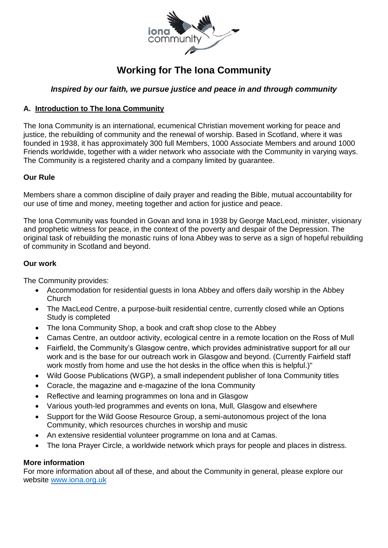

# **Working for The Iona Community**

# *Inspired by our faith, we pursue justice and peace in and through community*

# **A. Introduction to The Iona Community**

The Iona Community is an international, ecumenical Christian movement working for peace and justice, the rebuilding of community and the renewal of worship. Based in Scotland, where it was founded in 1938, it has approximately 300 full Members, 1000 Associate Members and around 1000 Friends worldwide, together with a wider network who associate with the Community in varying ways. The Community is a registered charity and a company limited by guarantee.

## **Our Rule**

Members share a common discipline of daily prayer and reading the Bible, mutual accountability for our use of time and money, meeting together and action for justice and peace.

The Iona Community was founded in Govan and Iona in 1938 by George MacLeod, minister, visionary and prophetic witness for peace, in the context of the poverty and despair of the Depression. The original task of rebuilding the monastic ruins of Iona Abbey was to serve as a sign of hopeful rebuilding of community in Scotland and beyond.

#### **Our work**

The Community provides:

- Accommodation for residential guests in Iona Abbey and offers daily worship in the Abbey Church
- The MacLeod Centre, a purpose-built residential centre, currently closed while an Options Study is completed
- The Iona Community Shop, a book and craft shop close to the Abbey
- Camas Centre, an outdoor activity, ecological centre in a remote location on the Ross of Mull
- Fairfield, the Community's Glasgow centre, which provides administrative support for all our work and is the base for our outreach work in Glasgow and beyond. (Currently Fairfield staff work mostly from home and use the hot desks in the office when this is helpful.)"
- Wild Goose Publications (WGP), a small independent publisher of Iona Community titles
- Coracle, the magazine and e-magazine of the Iona Community
- Reflective and learning programmes on Iona and in Glasgow
- Various youth-led programmes and events on Iona, Mull, Glasgow and elsewhere
- Support for the Wild Goose Resource Group, a semi-autonomous project of the Iona Community, which resources churches in worship and music
- An extensive residential volunteer programme on Iona and at Camas.
- The Iona Prayer Circle, a worldwide network which prays for people and places in distress.

## **More information**

For more information about all of these, and about the Community in general, please explore our website [www.iona.org.uk](http://www.iona.org.uk/)